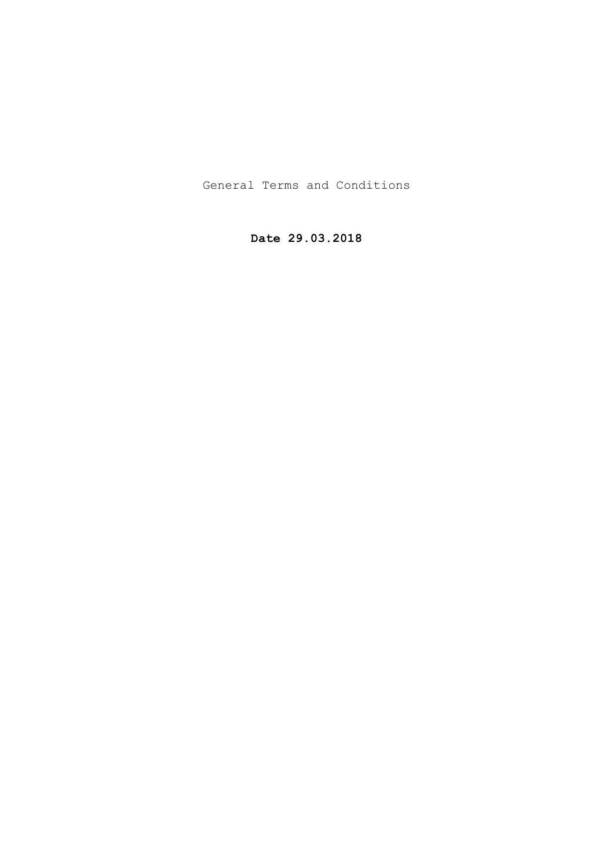General Terms and Conditions

**Date 29.03.2018**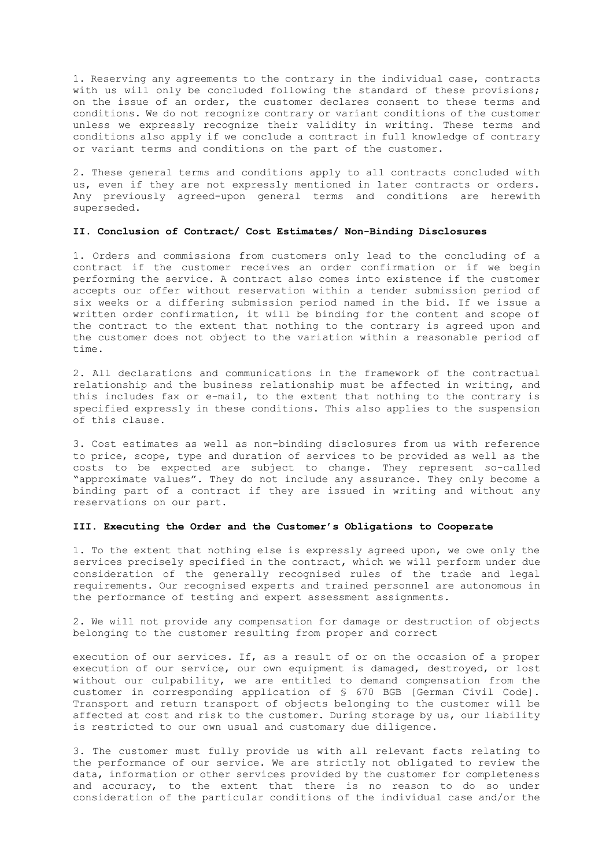1. Reserving any agreements to the contrary in the individual case, contracts with us will only be concluded following the standard of these provisions; on the issue of an order, the customer declares consent to these terms and conditions. We do not recognize contrary or variant conditions of the customer unless we expressly recognize their validity in writing. These terms and conditions also apply if we conclude a contract in full knowledge of contrary or variant terms and conditions on the part of the customer.

2. These general terms and conditions apply to all contracts concluded with us, even if they are not expressly mentioned in later contracts or orders. Any previously agreed-upon general terms and conditions are herewith superseded.

# **II. Conclusion of Contract/ Cost Estimates/ Non-Binding Disclosures**

1. Orders and commissions from customers only lead to the concluding of a contract if the customer receives an order confirmation or if we begin performing the service. A contract also comes into existence if the customer accepts our offer without reservation within a tender submission period of six weeks or a differing submission period named in the bid. If we issue a written order confirmation, it will be binding for the content and scope of the contract to the extent that nothing to the contrary is agreed upon and the customer does not object to the variation within a reasonable period of time.

2. All declarations and communications in the framework of the contractual relationship and the business relationship must be affected in writing, and this includes fax or e-mail, to the extent that nothing to the contrary is specified expressly in these conditions. This also applies to the suspension of this clause.

3. Cost estimates as well as non-binding disclosures from us with reference to price, scope, type and duration of services to be provided as well as the costs to be expected are subject to change. They represent so-called "approximate values". They do not include any assurance. They only become a binding part of a contract if they are issued in writing and without any reservations on our part.

## **III. Executing the Order and the Customer's Obligations to Cooperate**

1. To the extent that nothing else is expressly agreed upon, we owe only the services precisely specified in the contract, which we will perform under due consideration of the generally recognised rules of the trade and legal requirements. Our recognised experts and trained personnel are autonomous in the performance of testing and expert assessment assignments.

2. We will not provide any compensation for damage or destruction of objects belonging to the customer resulting from proper and correct

execution of our services. If, as a result of or on the occasion of a proper execution of our service, our own equipment is damaged, destroyed, or lost without our culpability, we are entitled to demand compensation from the customer in corresponding application of § 670 BGB [German Civil Code]. Transport and return transport of objects belonging to the customer will be affected at cost and risk to the customer. During storage by us, our liability is restricted to our own usual and customary due diligence.

3. The customer must fully provide us with all relevant facts relating to the performance of our service. We are strictly not obligated to review the data, information or other services provided by the customer for completeness and accuracy, to the extent that there is no reason to do so under consideration of the particular conditions of the individual case and/or the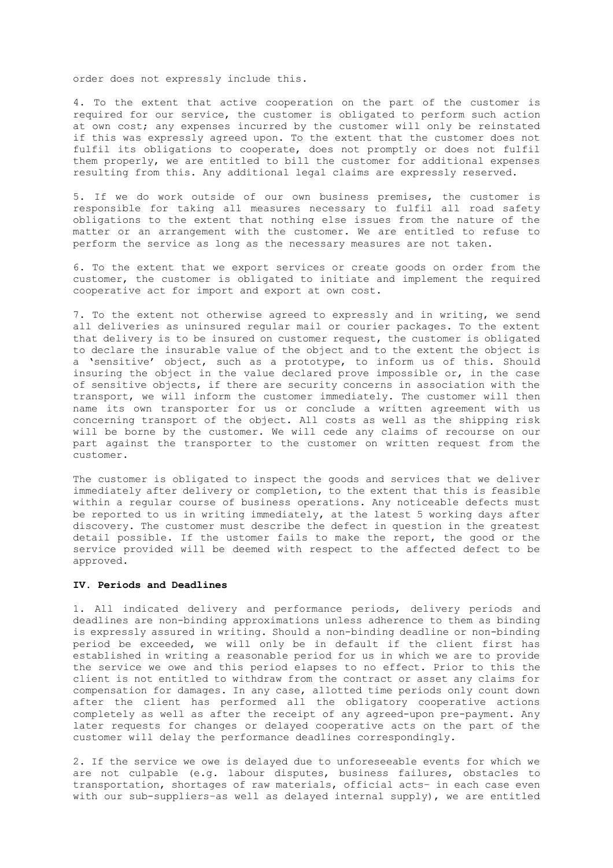order does not expressly include this.

4. To the extent that active cooperation on the part of the customer is required for our service, the customer is obligated to perform such action at own cost; any expenses incurred by the customer will only be reinstated if this was expressly agreed upon. To the extent that the customer does not fulfil its obligations to cooperate, does not promptly or does not fulfil them properly, we are entitled to bill the customer for additional expenses resulting from this. Any additional legal claims are expressly reserved.

5. If we do work outside of our own business premises, the customer is responsible for taking all measures necessary to fulfil all road safety obligations to the extent that nothing else issues from the nature of the matter or an arrangement with the customer. We are entitled to refuse to perform the service as long as the necessary measures are not taken.

6. To the extent that we export services or create goods on order from the customer, the customer is obligated to initiate and implement the required cooperative act for import and export at own cost.

7. To the extent not otherwise agreed to expressly and in writing, we send all deliveries as uninsured regular mail or courier packages. To the extent that delivery is to be insured on customer request, the customer is obligated to declare the insurable value of the object and to the extent the object is a 'sensitive' object, such as a prototype, to inform us of this. Should insuring the object in the value declared prove impossible or, in the case of sensitive objects, if there are security concerns in association with the transport, we will inform the customer immediately. The customer will then name its own transporter for us or conclude a written agreement with us concerning transport of the object. All costs as well as the shipping risk will be borne by the customer. We will cede any claims of recourse on our part against the transporter to the customer on written request from the customer.

The customer is obligated to inspect the goods and services that we deliver immediately after delivery or completion, to the extent that this is feasible within a regular course of business operations. Any noticeable defects must be reported to us in writing immediately, at the latest 5 working days after discovery. The customer must describe the defect in question in the greatest detail possible. If the ustomer fails to make the report, the good or the service provided will be deemed with respect to the affected defect to be approved.

### **IV. Periods and Deadlines**

1. All indicated delivery and performance periods, delivery periods and deadlines are non-binding approximations unless adherence to them as binding is expressly assured in writing. Should a non-binding deadline or non-binding period be exceeded, we will only be in default if the client first has established in writing a reasonable period for us in which we are to provide the service we owe and this period elapses to no effect. Prior to this the client is not entitled to withdraw from the contract or asset any claims for compensation for damages. In any case, allotted time periods only count down after the client has performed all the obligatory cooperative actions completely as well as after the receipt of any agreed-upon pre-payment. Any later requests for changes or delayed cooperative acts on the part of the customer will delay the performance deadlines correspondingly.

2. If the service we owe is delayed due to unforeseeable events for which we are not culpable (e.g. labour disputes, business failures, obstacles to transportation, shortages of raw materials, official acts– in each case even with our sub-suppliers–as well as delayed internal supply), we are entitled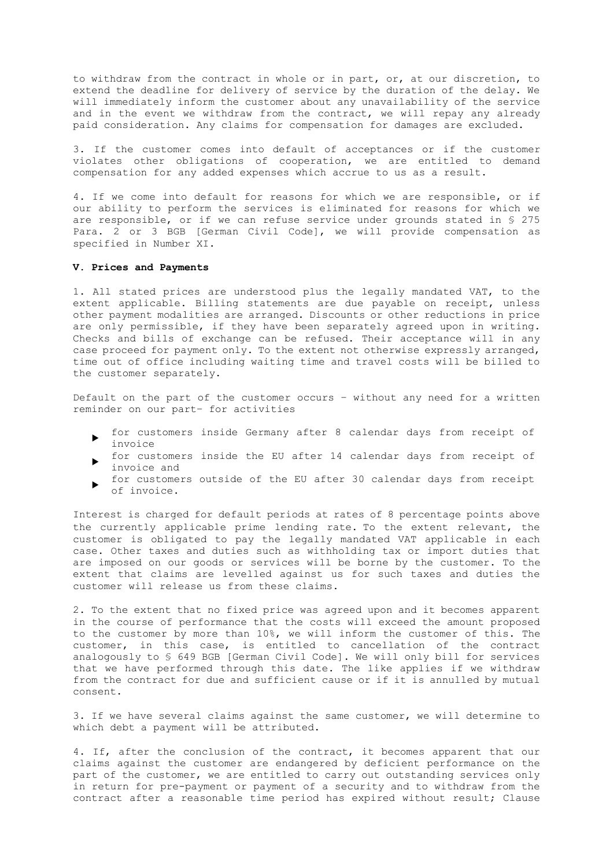to withdraw from the contract in whole or in part, or, at our discretion, to extend the deadline for delivery of service by the duration of the delay. We will immediately inform the customer about any unavailability of the service and in the event we withdraw from the contract, we will repay any already paid consideration. Any claims for compensation for damages are excluded.

3. If the customer comes into default of acceptances or if the customer violates other obligations of cooperation, we are entitled to demand compensation for any added expenses which accrue to us as a result.

4. If we come into default for reasons for which we are responsible, or if our ability to perform the services is eliminated for reasons for which we are responsible, or if we can refuse service under grounds stated in § 275 Para. 2 or 3 BGB [German Civil Code], we will provide compensation as specified in Number XI.

#### **V. Prices and Payments**

1. All stated prices are understood plus the legally mandated VAT, to the extent applicable. Billing statements are due payable on receipt, unless other payment modalities are arranged. Discounts or other reductions in price are only permissible, if they have been separately agreed upon in writing. Checks and bills of exchange can be refused. Their acceptance will in any case proceed for payment only. To the extent not otherwise expressly arranged, time out of office including waiting time and travel costs will be billed to the customer separately.

Default on the part of the customer occurs – without any need for a written reminder on our part– for activities

- for customers inside Germany after 8 calendar days from receipt of invoice
- for customers inside the EU after 14 calendar days from receipt of invoice and
- for customers outside of the EU after 30 calendar days from receipt of invoice.

Interest is charged for default periods at rates of 8 percentage points above the currently applicable prime lending rate. To the extent relevant, the customer is obligated to pay the legally mandated VAT applicable in each case. Other taxes and duties such as withholding tax or import duties that are imposed on our goods or services will be borne by the customer. To the extent that claims are levelled against us for such taxes and duties the customer will release us from these claims.

2. To the extent that no fixed price was agreed upon and it becomes apparent in the course of performance that the costs will exceed the amount proposed to the customer by more than 10%, we will inform the customer of this. The customer, in this case, is entitled to cancellation of the contract analogously to § 649 BGB [German Civil Code]. We will only bill for services that we have performed through this date. The like applies if we withdraw from the contract for due and sufficient cause or if it is annulled by mutual consent.

3. If we have several claims against the same customer, we will determine to which debt a payment will be attributed.

4. If, after the conclusion of the contract, it becomes apparent that our claims against the customer are endangered by deficient performance on the part of the customer, we are entitled to carry out outstanding services only in return for pre-payment or payment of a security and to withdraw from the contract after a reasonable time period has expired without result; Clause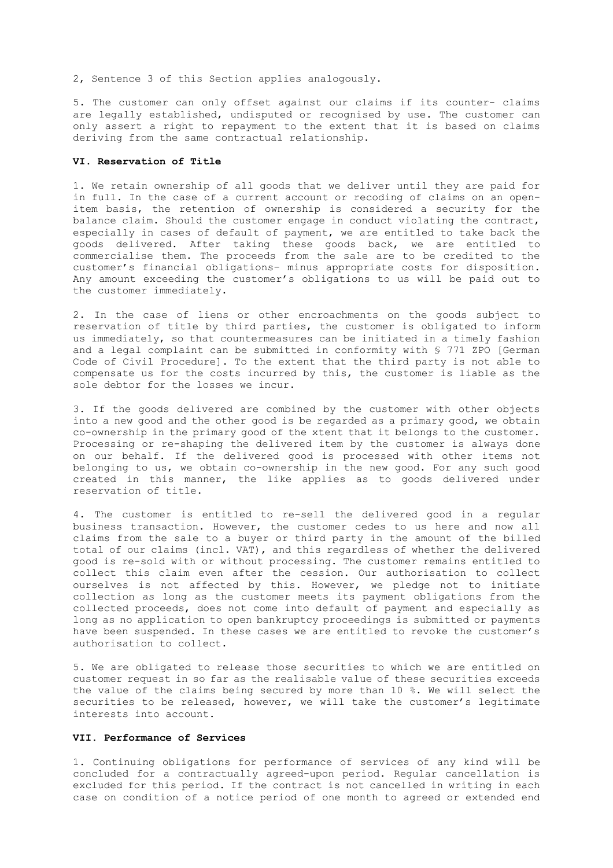2, Sentence 3 of this Section applies analogously.

5. The customer can only offset against our claims if its counter- claims are legally established, undisputed or recognised by use. The customer can only assert a right to repayment to the extent that it is based on claims deriving from the same contractual relationship.

#### **VI. Reservation of Title**

1. We retain ownership of all goods that we deliver until they are paid for in full. In the case of a current account or recoding of claims on an openitem basis, the retention of ownership is considered a security for the balance claim. Should the customer engage in conduct violating the contract, especially in cases of default of payment, we are entitled to take back the goods delivered. After taking these goods back, we are entitled to commercialise them. The proceeds from the sale are to be credited to the customer's financial obligations– minus appropriate costs for disposition. Any amount exceeding the customer's obligations to us will be paid out to the customer immediately.

2. In the case of liens or other encroachments on the goods subject to reservation of title by third parties, the customer is obligated to inform us immediately, so that countermeasures can be initiated in a timely fashion and a legal complaint can be submitted in conformity with § 771 ZPO [German Code of Civil Procedure]. To the extent that the third party is not able to compensate us for the costs incurred by this, the customer is liable as the sole debtor for the losses we incur.

3. If the goods delivered are combined by the customer with other objects into a new good and the other good is be regarded as a primary good, we obtain co-ownership in the primary good of the xtent that it belongs to the customer. Processing or re-shaping the delivered item by the customer is always done on our behalf. If the delivered good is processed with other items not belonging to us, we obtain co-ownership in the new good. For any such good created in this manner, the like applies as to goods delivered under reservation of title.

4. The customer is entitled to re-sell the delivered good in a regular business transaction. However, the customer cedes to us here and now all claims from the sale to a buyer or third party in the amount of the billed total of our claims (incl. VAT), and this regardless of whether the delivered good is re-sold with or without processing. The customer remains entitled to collect this claim even after the cession. Our authorisation to collect ourselves is not affected by this. However, we pledge not to initiate collection as long as the customer meets its payment obligations from the collected proceeds, does not come into default of payment and especially as long as no application to open bankruptcy proceedings is submitted or payments have been suspended. In these cases we are entitled to revoke the customer's authorisation to collect.

5. We are obligated to release those securities to which we are entitled on customer request in so far as the realisable value of these securities exceeds the value of the claims being secured by more than 10 %. We will select the securities to be released, however, we will take the customer's legitimate interests into account.

### **VII. Performance of Services**

1. Continuing obligations for performance of services of any kind will be concluded for a contractually agreed-upon period. Regular cancellation is excluded for this period. If the contract is not cancelled in writing in each case on condition of a notice period of one month to agreed or extended end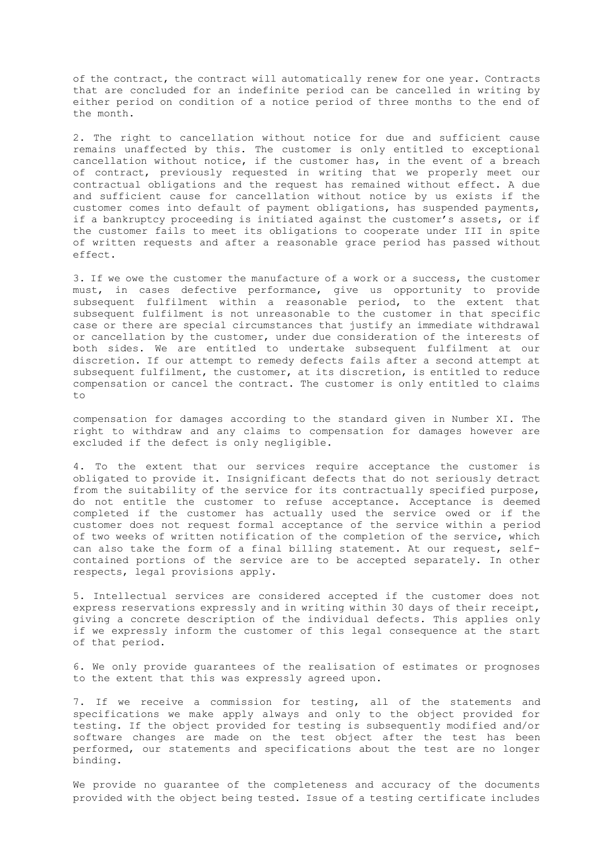of the contract, the contract will automatically renew for one year. Contracts that are concluded for an indefinite period can be cancelled in writing by either period on condition of a notice period of three months to the end of the month.

2. The right to cancellation without notice for due and sufficient cause remains unaffected by this. The customer is only entitled to exceptional cancellation without notice, if the customer has, in the event of a breach of contract, previously requested in writing that we properly meet our contractual obligations and the request has remained without effect. A due and sufficient cause for cancellation without notice by us exists if the customer comes into default of payment obligations, has suspended payments, if a bankruptcy proceeding is initiated against the customer's assets, or if the customer fails to meet its obligations to cooperate under III in spite of written requests and after a reasonable grace period has passed without effect.

3. If we owe the customer the manufacture of a work or a success, the customer must, in cases defective performance, give us opportunity to provide subsequent fulfilment within a reasonable period, to the extent that subsequent fulfilment is not unreasonable to the customer in that specific case or there are special circumstances that justify an immediate withdrawal or cancellation by the customer, under due consideration of the interests of both sides. We are entitled to undertake subsequent fulfilment at our discretion. If our attempt to remedy defects fails after a second attempt at subsequent fulfilment, the customer, at its discretion, is entitled to reduce compensation or cancel the contract. The customer is only entitled to claims to

compensation for damages according to the standard given in Number XI. The right to withdraw and any claims to compensation for damages however are excluded if the defect is only negligible.

4. To the extent that our services require acceptance the customer is obligated to provide it. Insignificant defects that do not seriously detract from the suitability of the service for its contractually specified purpose, do not entitle the customer to refuse acceptance. Acceptance is deemed completed if the customer has actually used the service owed or if the customer does not request formal acceptance of the service within a period of two weeks of written notification of the completion of the service, which can also take the form of a final billing statement. At our request, selfcontained portions of the service are to be accepted separately. In other respects, legal provisions apply.

5. Intellectual services are considered accepted if the customer does not express reservations expressly and in writing within 30 days of their receipt, giving a concrete description of the individual defects. This applies only if we expressly inform the customer of this legal consequence at the start of that period.

6. We only provide guarantees of the realisation of estimates or prognoses to the extent that this was expressly agreed upon.

7. If we receive a commission for testing, all of the statements and specifications we make apply always and only to the object provided for testing. If the object provided for testing is subsequently modified and/or software changes are made on the test object after the test has been performed, our statements and specifications about the test are no longer binding.

We provide no guarantee of the completeness and accuracy of the documents provided with the object being tested. Issue of a testing certificate includes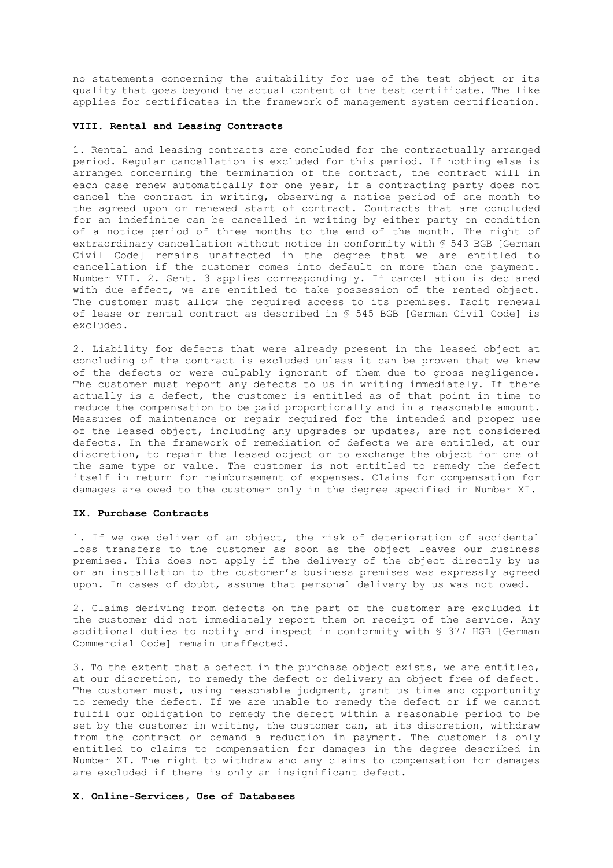no statements concerning the suitability for use of the test object or its quality that goes beyond the actual content of the test certificate. The like applies for certificates in the framework of management system certification.

#### **VIII. Rental and Leasing Contracts**

1. Rental and leasing contracts are concluded for the contractually arranged period. Regular cancellation is excluded for this period. If nothing else is arranged concerning the termination of the contract, the contract will in each case renew automatically for one year, if a contracting party does not cancel the contract in writing, observing a notice period of one month to the agreed upon or renewed start of contract. Contracts that are concluded for an indefinite can be cancelled in writing by either party on condition of a notice period of three months to the end of the month. The right of extraordinary cancellation without notice in conformity with § 543 BGB [German Civil Code] remains unaffected in the degree that we are entitled to cancellation if the customer comes into default on more than one payment. Number VII. 2. Sent. 3 applies correspondingly. If cancellation is declared with due effect, we are entitled to take possession of the rented object. The customer must allow the required access to its premises. Tacit renewal of lease or rental contract as described in § 545 BGB [German Civil Code] is excluded.

2. Liability for defects that were already present in the leased object at concluding of the contract is excluded unless it can be proven that we knew of the defects or were culpably ignorant of them due to gross negligence. The customer must report any defects to us in writing immediately. If there actually is a defect, the customer is entitled as of that point in time to reduce the compensation to be paid proportionally and in a reasonable amount. Measures of maintenance or repair required for the intended and proper use of the leased object, including any upgrades or updates, are not considered defects. In the framework of remediation of defects we are entitled, at our discretion, to repair the leased object or to exchange the object for one of the same type or value. The customer is not entitled to remedy the defect itself in return for reimbursement of expenses. Claims for compensation for damages are owed to the customer only in the degree specified in Number XI.

#### **IX. Purchase Contracts**

1. If we owe deliver of an object, the risk of deterioration of accidental loss transfers to the customer as soon as the object leaves our business premises. This does not apply if the delivery of the object directly by us or an installation to the customer's business premises was expressly agreed upon. In cases of doubt, assume that personal delivery by us was not owed.

2. Claims deriving from defects on the part of the customer are excluded if the customer did not immediately report them on receipt of the service. Any additional duties to notify and inspect in conformity with § 377 HGB [German Commercial Code] remain unaffected.

3. To the extent that a defect in the purchase object exists, we are entitled, at our discretion, to remedy the defect or delivery an object free of defect. The customer must, using reasonable judgment, grant us time and opportunity to remedy the defect. If we are unable to remedy the defect or if we cannot fulfil our obligation to remedy the defect within a reasonable period to be set by the customer in writing, the customer can, at its discretion, withdraw from the contract or demand a reduction in payment. The customer is only entitled to claims to compensation for damages in the degree described in Number XI. The right to withdraw and any claims to compensation for damages are excluded if there is only an insignificant defect.

# **X. Online-Services, Use of Databases**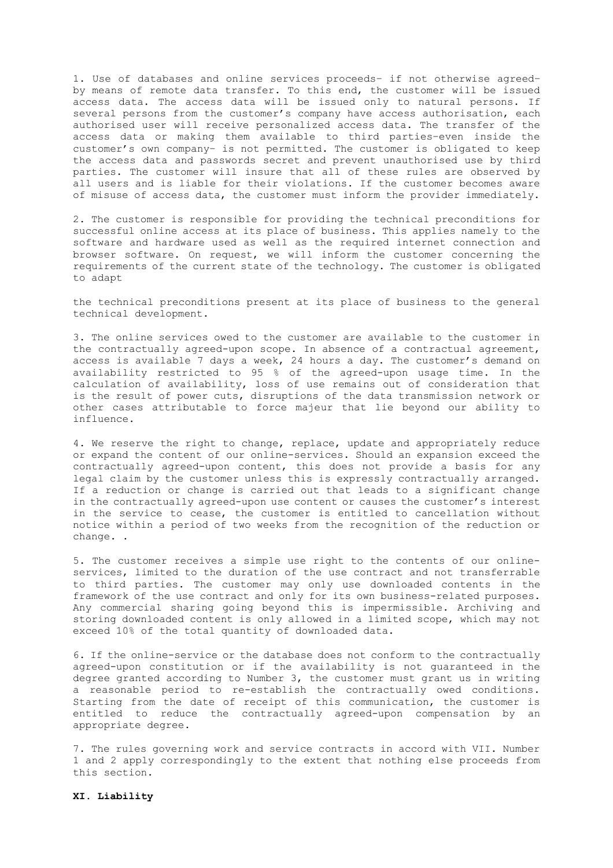1. Use of databases and online services proceeds– if not otherwise agreed– by means of remote data transfer. To this end, the customer will be issued access data. The access data will be issued only to natural persons. If several persons from the customer's company have access authorisation, each authorised user will receive personalized access data. The transfer of the access data or making them available to third parties–even inside the customer's own company– is not permitted. The customer is obligated to keep the access data and passwords secret and prevent unauthorised use by third parties. The customer will insure that all of these rules are observed by all users and is liable for their violations. If the customer becomes aware of misuse of access data, the customer must inform the provider immediately.

2. The customer is responsible for providing the technical preconditions for successful online access at its place of business. This applies namely to the software and hardware used as well as the required internet connection and browser software. On request, we will inform the customer concerning the requirements of the current state of the technology. The customer is obligated to adapt

the technical preconditions present at its place of business to the general technical development.

3. The online services owed to the customer are available to the customer in the contractually agreed-upon scope. In absence of a contractual agreement, access is available 7 days a week, 24 hours a day. The customer's demand on availability restricted to 95 % of the agreed-upon usage time. In the calculation of availability, loss of use remains out of consideration that is the result of power cuts, disruptions of the data transmission network or other cases attributable to force majeur that lie beyond our ability to influence.

4. We reserve the right to change, replace, update and appropriately reduce or expand the content of our online-services. Should an expansion exceed the contractually agreed-upon content, this does not provide a basis for any legal claim by the customer unless this is expressly contractually arranged. If a reduction or change is carried out that leads to a significant change in the contractually agreed-upon use content or causes the customer's interest in the service to cease, the customer is entitled to cancellation without notice within a period of two weeks from the recognition of the reduction or change. .

5. The customer receives a simple use right to the contents of our onlineservices, limited to the duration of the use contract and not transferrable to third parties. The customer may only use downloaded contents in the framework of the use contract and only for its own business-related purposes. Any commercial sharing going beyond this is impermissible. Archiving and storing downloaded content is only allowed in a limited scope, which may not exceed 10% of the total quantity of downloaded data.

6. If the online-service or the database does not conform to the contractually agreed-upon constitution or if the availability is not guaranteed in the degree granted according to Number 3, the customer must grant us in writing a reasonable period to re-establish the contractually owed conditions. Starting from the date of receipt of this communication, the customer is entitled to reduce the contractually agreed-upon compensation by an appropriate degree.

7. The rules governing work and service contracts in accord with VII. Number 1 and 2 apply correspondingly to the extent that nothing else proceeds from this section.

# **XI. Liability**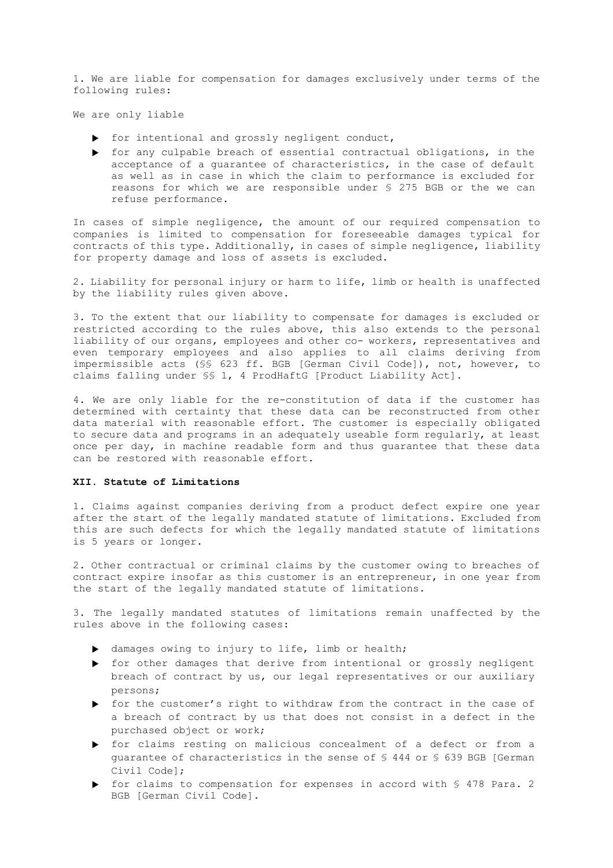1. We are liable for compensation for damages exclusively under terms of the following rules:

We are only liable

- $\triangleright$  for intentional and grossly negligent conduct,
- for any culpable breach of essential contractual obligations, in the acceptance of a guarantee of characteristics, in the case of default as well as in case in which the claim to performance is excluded for reasons for which we are responsible under § 275 BGB or the we can refuse performance.

In cases of simple negligence, the amount of our required compensation to companies is limited to compensation for foreseeable damages typical for contracts of this type. Additionally, in cases of simple negligence, liability for property damage and loss of assets is excluded.

2. Liability for personal injury or harm to life, limb or health is unaffected by the liability rules given above.

3. To the extent that our liability to compensate for damages is excluded or restricted according to the rules above, this also extends to the personal liability of our organs, employees and other co- workers, representatives and even temporary employees and also applies to all claims deriving from impermissible acts (§§ 623 ff. BGB [German Civil Code]), not, however, to claims falling under §§ 1, 4 ProdHaftG [Product Liability Act].

4. We are only liable for the re-constitution of data if the customer has determined with certainty that these data can be reconstructed from other data material with reasonable effort. The customer is especially obligated to secure data and programs in an adequately useable form regularly, at least once per day, in machine readable form and thus guarantee that these data can be restored with reasonable effort.

## **XII. Statute of Limitations**

1. Claims against companies deriving from a product defect expire one year after the start of the legally mandated statute of limitations. Excluded from this are such defects for which the legally mandated statute of limitations is 5 years or longer.

2. Other contractual or criminal claims by the customer owing to breaches of contract expire insofar as this customer is an entrepreneur, in one year from the start of the legally mandated statute of limitations.

3. The legally mandated statutes of limitations remain unaffected by the rules above in the following cases:

- damages owing to injury to life, limb or health;
- for other damages that derive from intentional or grossly negligent breach of contract by us, our legal representatives or our auxiliary persons;
- for the customer's right to withdraw from the contract in the case of a breach of contract by us that does not consist in a defect in the purchased object or work;
- for claims resting on malicious concealment of a defect or from a guarantee of characteristics in the sense of § 444 or § 639 BGB [German Civil Code];
- ▶ for claims to compensation for expenses in accord with § 478 Para. 2 BGB [German Civil Code].